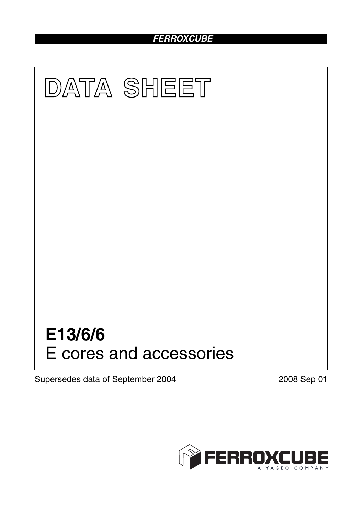### *FERROXCUBE*



Supersedes data of September 2004 2008 Sep 01

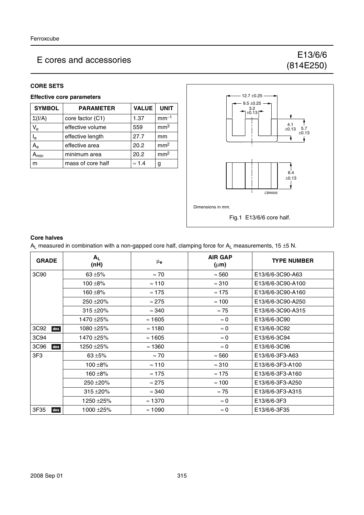### E cores and accessories Energy and accessories E13/6/6

#### **CORE SETS**

#### **Effective core parameters**

| <b>SYMBOL</b>             | <b>PARAMETER</b>     | <b>VALUE</b>  | <b>UNIT</b>     |
|---------------------------|----------------------|---------------|-----------------|
| $\Sigma(I/A)$             | core factor (C1)     | 1.37          | $mm-1$          |
| $V_{\rm e}$               | effective volume     | 559           | mm <sup>3</sup> |
| $I_e$                     | effective length     | 27.7          | mm              |
| $A_{e}$                   | effective area       | 20.2          | mm <sup>2</sup> |
| $\mathbf{A}_{\text{min}}$ | 20.2<br>minimum area |               | mm <sup>2</sup> |
| m                         | mass of core half    | $\approx$ 1.4 | g               |



#### **Core halves**

 $A_L$  measured in combination with a non-gapped core half, clamping force for  $A_L$  measurements, 15 ±5 N.

| <b>GRADE</b> | $A_L$<br>(nH) | μ <sub>e</sub> | <b>AIR GAP</b><br>$(\mu m)$ | <b>TYPE NUMBER</b> |
|--------------|---------------|----------------|-----------------------------|--------------------|
|              |               |                |                             |                    |
| 3C90         | 63 $±5%$      | $\approx 70$   | $\approx 560$               | E13/6/6-3C90-A63   |
|              | 100 $\pm$ 8%  | $\approx 110$  | $\approx$ 310               | E13/6/6-3C90-A100  |
|              | 160 $\pm$ 8%  | $\approx 175$  | $\approx 175$               | E13/6/6-3C90-A160  |
|              | $250 + 20\%$  | $\approx$ 275  | $\approx 100$               | E13/6/6-3C90-A250  |
|              | $315 + 20%$   | $\approx$ 340  | $\approx 75$                | E13/6/6-3C90-A315  |
|              | 1470 ± 25%    | $\approx$ 1605 | $\approx 0$                 | E13/6/6-3C90       |
| 3C92<br>des  | 1080 ± 25%    | $\approx$ 1180 | $\approx 0$                 | E13/6/6-3C92       |
| 3C94         | 1470 ±25%     | $\approx$ 1605 | $\approx 0$                 | E13/6/6-3C94       |
| 3C96<br>des  | 1250 ± 25%    | $\approx$ 1360 | $\approx 0$                 | E13/6/6-3C96       |
| 3F3          | 63 $±5%$      | $\approx 70$   | $\approx$ 560               | E13/6/6-3F3-A63    |
|              | 100 $\pm$ 8%  | $\approx$ 110  | $\approx$ 310               | E13/6/6-3F3-A100   |
|              | 160 $\pm$ 8%  | $\approx 175$  | $\approx 175$               | E13/6/6-3F3-A160   |
|              | $250 + 20%$   | $\approx$ 275  | $\approx$ 100               | E13/6/6-3F3-A250   |
|              | $315 + 20%$   | $\approx$ 340  | $\approx 75$                | E13/6/6-3F3-A315   |
|              | 1250 ±25%     | $\approx$ 1370 | $\approx 0$                 | E13/6/6-3F3        |
| 3F35<br>des  | 1000 ±25%     | $\approx$ 1090 | $\approx 0$                 | E13/6/6-3F35       |

## (814E250)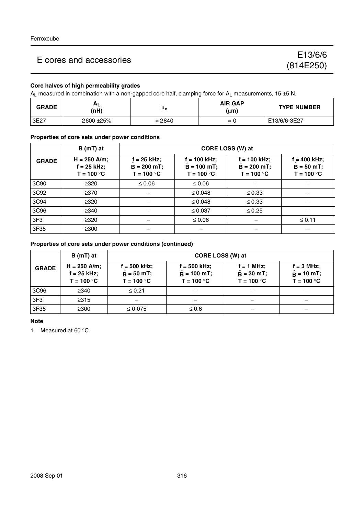## E cores and accessories Energy and accessories E13/6/6

#### **Core halves of high permeability grades**

 $A_L$  measured in combination with a non-gapped core half, clamping force for  $A_L$  measurements, 15  $\pm$ 5 N.

| <b>GRADE</b> | ռլ<br>(nH) | μe             | <b>AIR GAP</b><br>$(\mu m)$ | <b>TYPE NUMBER</b> |
|--------------|------------|----------------|-----------------------------|--------------------|
| 3E27         | 2600 ± 25% | $\approx$ 2840 | $\approx$                   | E13/6/6-3E27       |

#### **Properties of core sets under power conditions**

|                 | $B(mT)$ at                                      | CORE LOSS (W) at                               |                                                 |                                                  |                                                 |  |
|-----------------|-------------------------------------------------|------------------------------------------------|-------------------------------------------------|--------------------------------------------------|-------------------------------------------------|--|
| <b>GRADE</b>    | $H = 250$ A/m;<br>$f = 25$ kHz;<br>$T = 100 °C$ | $f = 25$ kHz;<br>$B = 200$ mT;<br>$T = 100 °C$ | $f = 100$ kHz;<br>$B = 100$ mT;<br>$T = 100 °C$ | $f = 100$ kHz;<br>$B = 200 mT$ ;<br>$T = 100 °C$ | $f = 400$ kHz;<br>$B = 50 mT$ ;<br>$T = 100 °C$ |  |
| 3C90            | $\geq 320$                                      | $\leq 0.06$                                    | $\leq 0.06$                                     |                                                  |                                                 |  |
| 3C92            | $\geq$ 370                                      |                                                | $\leq 0.048$                                    | $\leq 0.33$                                      |                                                 |  |
| 3C94            | $\geq 320$                                      |                                                | $\leq 0.048$                                    | $\leq 0.33$                                      |                                                 |  |
| 3C96            | $\geq$ 340                                      |                                                | $\leq 0.037$                                    | $\leq 0.25$                                      |                                                 |  |
| 3F <sub>3</sub> | $\geq 320$                                      |                                                | $\leq 0.06$                                     |                                                  | $≤ 0.11$                                        |  |
| 3F35            | $\geq 300$                                      |                                                |                                                 |                                                  |                                                 |  |

#### **Properties of core sets under power conditions (continued)**

|                 | $B(mT)$ at                                      | CORE LOSS (W) at                             |                                                 |                                              |                                                     |
|-----------------|-------------------------------------------------|----------------------------------------------|-------------------------------------------------|----------------------------------------------|-----------------------------------------------------|
| <b>GRADE</b>    | $H = 250$ A/m;<br>$f = 25$ kHz;<br>$T = 100 °C$ | f = 500 kHz;<br>$B = 50$ mT;<br>$T = 100 °C$ | $f = 500$ kHz;<br>$B = 100$ mT;<br>$T = 100 °C$ | $f = 1$ MHz;<br>$B = 30$ mT;<br>$T = 100 °C$ | $f = 3 MHz$ ;<br>$\hat{B} = 10$ mT;<br>$T = 100 °C$ |
| 3C96            | $\geq$ 340                                      | $\leq 0.21$                                  |                                                 |                                              |                                                     |
| 3F <sub>3</sub> | $\geq 315$                                      |                                              |                                                 |                                              |                                                     |
| 3F35            | $\geq$ 300                                      | $\leq 0.075$                                 | $\leq 0.6$                                      |                                              |                                                     |

**Note**

1. Measured at 60 °C.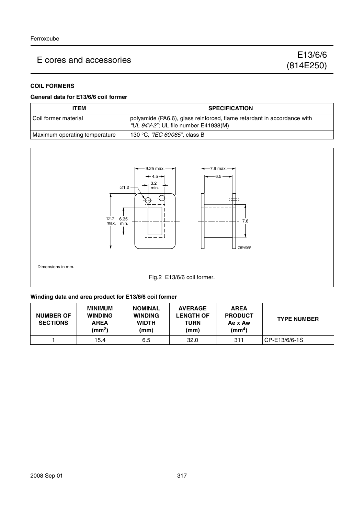## E cores and accessories Energy and accessories E13/6/6

#### **COIL FORMERS**

#### **General data for E13/6/6 coil former**

| ITEM                          | <b>SPECIFICATION</b>                                                                                            |
|-------------------------------|-----------------------------------------------------------------------------------------------------------------|
| Coil former material          | polyamide (PA6.6), glass reinforced, flame retardant in accordance with<br>"UL 94V-2"; UL file number E41938(M) |
| Maximum operating temperature | 130 °C, <i>"IEC 60085"</i> , class B                                                                            |



Dimensions in mm.



#### **Winding data and area product for E13/6/6 coil former**

| <b>NUMBER OF</b><br><b>SECTIONS</b> | <b>MINIMUM</b><br><b>WINDING</b><br><b>AREA</b><br>(mm <sup>2</sup> ) | <b>NOMINAL</b><br><b>WINDING</b><br><b>WIDTH</b><br>(mm) | <b>AVERAGE</b><br><b>LENGTH OF</b><br><b>TURN</b><br>(mm) | <b>AREA</b><br><b>PRODUCT</b><br>Ae x Aw<br>(mm <sup>4</sup> ) | <b>TYPE NUMBER</b> |
|-------------------------------------|-----------------------------------------------------------------------|----------------------------------------------------------|-----------------------------------------------------------|----------------------------------------------------------------|--------------------|
|                                     | 15.4                                                                  | 6.5                                                      | 32.0                                                      | 311                                                            | CP-E13/6/6-1S      |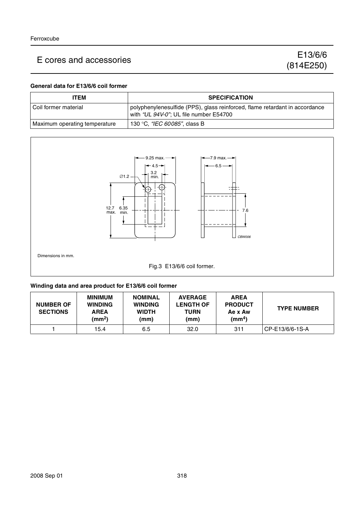## E cores and accessories E cores and accessories E cores and accessories E cores and accessories E cores executive E cores et al.  $\frac{E13}{60}$

# (814E250)

#### **General data for E13/6/6 coil former**

| <b>ITEM</b>                   | <b>SPECIFICATION</b>                                                                                                  |
|-------------------------------|-----------------------------------------------------------------------------------------------------------------------|
| l Coil former material        | polyphenylenesulfide (PPS), glass reinforced, flame retardant in accordance<br>with "UL 94V-0"; UL file number E54700 |
| Maximum operating temperature | 130 °C, <i>"IEC 60085"</i> , class B                                                                                  |



#### **Winding data and area product for E13/6/6 coil former**

| <b>NUMBER OF</b><br><b>SECTIONS</b> | <b>MINIMUM</b><br><b>WINDING</b><br><b>AREA</b><br>(mm <sup>2</sup> ) | <b>NOMINAL</b><br><b>WINDING</b><br><b>WIDTH</b><br>(mm) | <b>AVERAGE</b><br><b>LENGTH OF</b><br><b>TURN</b><br>(mm) | <b>AREA</b><br><b>PRODUCT</b><br>Ae x Aw<br>(mm <sup>4</sup> ) | <b>TYPE NUMBER</b> |
|-------------------------------------|-----------------------------------------------------------------------|----------------------------------------------------------|-----------------------------------------------------------|----------------------------------------------------------------|--------------------|
|                                     | 15.4                                                                  | 6.5                                                      | 32.0                                                      | 311                                                            | CP-E13/6/6-1S-A    |